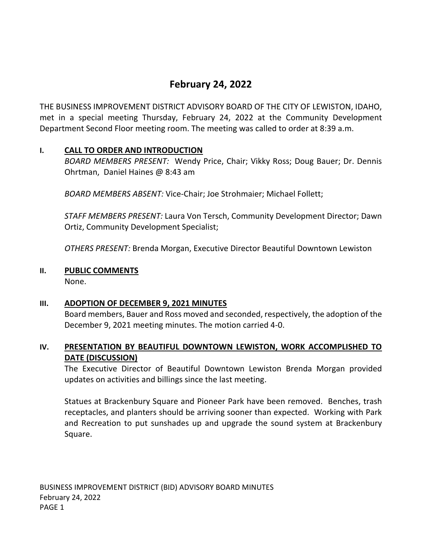# **February 24, 2022**

THE BUSINESS IMPROVEMENT DISTRICT ADVISORY BOARD OF THE CITY OF LEWISTON, IDAHO, met in a special meeting Thursday, February 24, 2022 at the Community Development Department Second Floor meeting room. The meeting was called to order at 8:39 a.m.

# **I. CALL TO ORDER AND INTRODUCTION**

*BOARD MEMBERS PRESENT:* Wendy Price, Chair; Vikky Ross; Doug Bauer; Dr. Dennis Ohrtman, Daniel Haines @ 8:43 am

*BOARD MEMBERS ABSENT:* Vice-Chair; Joe Strohmaier; Michael Follett;

*STAFF MEMBERS PRESENT:* Laura Von Tersch, Community Development Director; Dawn Ortiz, Community Development Specialist;

*OTHERS PRESENT:* Brenda Morgan, Executive Director Beautiful Downtown Lewiston

#### **II. PUBLIC COMMENTS**

None.

#### **III. ADOPTION OF DECEMBER 9, 2021 MINUTES**

Board members, Bauer and Ross moved and seconded, respectively, the adoption of the December 9, 2021 meeting minutes. The motion carried 4-0.

# **IV. PRESENTATION BY BEAUTIFUL DOWNTOWN LEWISTON, WORK ACCOMPLISHED TO DATE (DISCUSSION)**

The Executive Director of Beautiful Downtown Lewiston Brenda Morgan provided updates on activities and billings since the last meeting.

Statues at Brackenbury Square and Pioneer Park have been removed. Benches, trash receptacles, and planters should be arriving sooner than expected. Working with Park and Recreation to put sunshades up and upgrade the sound system at Brackenbury Square.